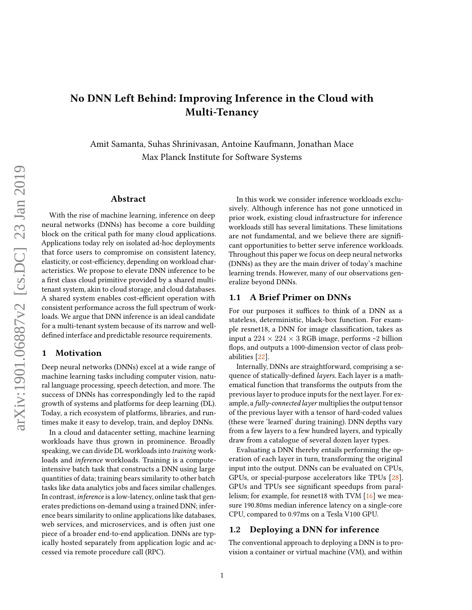# No DNN Left Behind: Improving Inference in the Cloud with Multi-Tenancy

Amit Samanta, Suhas Shrinivasan, Antoine Kaufmann, Jonathan Mace Max Planck Institute for Software Systems

#### Abstract

With the rise of machine learning, inference on deep neural networks (DNNs) has become a core building block on the critical path for many cloud applications. Applications today rely on isolated ad-hoc deployments that force users to compromise on consistent latency, elasticity, or cost-efficiency, depending on workload characteristics. We propose to elevate DNN inference to be a first class cloud primitive provided by a shared multitenant system, akin to cloud storage, and cloud databases. A shared system enables cost-efficient operation with consistent performance across the full spectrum of workloads. We argue that DNN inference is an ideal candidate for a multi-tenant system because of its narrow and welldefined interface and predictable resource requirements.

#### 1 Motivation

Deep neural networks (DNNs) excel at a wide range of machine learning tasks including computer vision, natural language processing, speech detection, and more. The success of DNNs has correspondingly led to the rapid growth of systems and platforms for deep learning (DL). Today, a rich ecosystem of platforms, libraries, and runtimes make it easy to develop, train, and deploy DNNs.

In a cloud and datacenter setting, machine learning workloads have thus grown in prominence. Broadly speaking, we can divide DL workloads into training workloads and inference workloads. Training is a computeintensive batch task that constructs a DNN using large quantities of data; training bears similarity to other batch tasks like data analytics jobs and faces similar challenges. In contrast, *inference* is a low-latency, online task that generates predictions on-demand using a trained DNN; inference bears similarity to online applications like databases, web services, and microservices, and is often just one piece of a broader end-to-end application. DNNs are typically hosted separately from application logic and accessed via remote procedure call (RPC).

In this work we consider inference workloads exclusively. Although inference has not gone unnoticed in prior work, existing cloud infrastructure for inference workloads still has several limitations. These limitations are not fundamental, and we believe there are significant opportunities to better serve inference workloads. Throughout this paper we focus on deep neural networks (DNNs) as they are the main driver of today's machine learning trends. However, many of our observations generalize beyond DNNs.

#### <span id="page-0-1"></span>1.1 A Brief Primer on DNNs

For our purposes it suffices to think of a DNN as a stateless, deterministic, black-box function. For example resnet18, a DNN for image classification, takes as input a  $224 \times 224 \times 3$  RGB image, performs ~2 billion flops, and outputs a 1000-dimension vector of class probabilities [\[22\]](#page-6-0).

Internally, DNNs are straightforward, comprising a sequence of statically-defined *layers*. Each layer is a mathematical function that transforms the outputs from the previous layer to produce inputs for the next layer. For example, a fully-connected layer multiplies the output tensor of the previous layer with a tensor of hard-coded values (these were 'learned' during training). DNN depths vary from a few layers to a few hundred layers, and typically draw from a catalogue of several dozen layer types.

Evaluating a DNN thereby entails performing the operation of each layer in turn, transforming the original input into the output. DNNs can be evaluated on CPUs, GPUs, or special-purpose accelerators like TPUs [\[28\]](#page-6-1). GPUs and TPUs see signicant speedups from parallelism; for example, for resnet18 with TVM [\[16\]](#page-5-0) we measure 190.80ms median inference latency on a single-core CPU, compared to 0.97ms on a Tesla V100 GPU.

#### <span id="page-0-0"></span>1.2 Deploying a DNN for inference

The conventional approach to deploying a DNN is to provision a container or virtual machine (VM), and within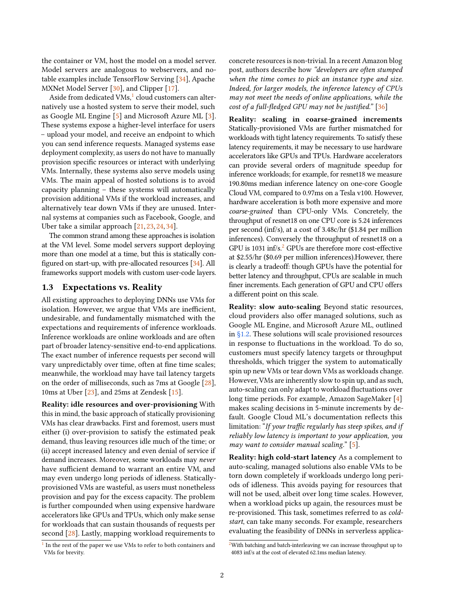the container or VM, host the model on a model server. Model servers are analogous to webservers, and notable examples include TensorFlow Serving [\[34\]](#page-6-2), Apache MXNet Model Server [\[30\]](#page-6-3), and Clipper [\[17\]](#page-5-1).

Aside from dedicated  $V$ Ms, $^1$  $^1$  cloud customers can alternatively use a hosted system to serve their model, such as Google ML Engine [\[5\]](#page-5-2) and Microsoft Azure ML [\[3\]](#page-5-3). These systems expose a higher-level interface for users – upload your model, and receive an endpoint to which you can send inference requests. Managed systems ease deployment complexity, as users do not have to manually provision specific resources or interact with underlying VMs. Internally, these systems also serve models using VMs. The main appeal of hosted solutions is to avoid capacity planning – these systems will automatically provision additional VMs if the workload increases, and alternatively tear down VMs if they are unused. Internal systems at companies such as Facebook, Google, and Uber take a similar approach [\[21,](#page-6-4) [23,](#page-6-5) [24,](#page-6-6) [34\]](#page-6-2).

The common strand among these approaches is isolation at the VM level. Some model servers support deploying more than one model at a time, but this is statically configured on start-up, with pre-allocated resources [\[34\]](#page-6-2). All frameworks support models with custom user-code layers.

#### <span id="page-1-2"></span>1.3 Expectations vs. Reality

All existing approaches to deploying DNNs use VMs for isolation. However, we argue that VMs are inefficient, undesirable, and fundamentally mismatched with the expectations and requirements of inference workloads. Inference workloads are online workloads and are often part of broader latency-sensitive end-to-end applications. The exact number of inference requests per second will vary unpredictably over time, often at fine time scales; meanwhile, the workload may have tail latency targets on the order of milliseconds, such as 7ms at Google [\[28\]](#page-6-1), 10ms at Uber [\[23\]](#page-6-5), and 25ms at Zendesk [\[15\]](#page-5-4).

Reality: idle resources and over-provisioning With this in mind, the basic approach of statically provisioning VMs has clear drawbacks. First and foremost, users must either (i) over-provision to satisfy the estimated peak demand, thus leaving resources idle much of the time; or (ii) accept increased latency and even denial of service if demand increases. Moreover, some workloads may never have sufficient demand to warrant an entire VM, and may even undergo long periods of idleness. Staticallyprovisioned VMs are wasteful, as users must nonetheless provision and pay for the excess capacity. The problem is further compounded when using expensive hardware accelerators like GPUs and TPUs, which only make sense for workloads that can sustain thousands of requests per second [\[28\]](#page-6-1). Lastly, mapping workload requirements to

concrete resources is non-trivial. In a recent Amazon blog post, authors describe how "developers are often stumped when the time comes to pick an instance type and size. Indeed, for larger models, the inference latency of CPUs may not meet the needs of online applications, while the cost of a full-fledged GPU may not be justified."  $[36]$ 

Reality: scaling in coarse-grained increments Statically-provisioned VMs are further mismatched for workloads with tight latency requirements. To satisfy these latency requirements, it may be necessary to use hardware accelerators like GPUs and TPUs. Hardware accelerators can provide several orders of magnitude speedup for inference workloads; for example, for resnet18 we measure 190.80ms median inference latency on one-core Google Cloud VM, compared to 0.97ms on a Tesla v100. However, hardware acceleration is both more expensive and more coarse-grained than CPU-only VMs. Concretely, the throughput of resnet18 on one CPU core is 5.24 inferences per second (inf/s), at a cost of 3.48c/hr (\$1.84 per million inferences). Conversely the throughput of resnet18 on a GPU is 1031 inf/s. $^{2}$  $^{2}$  $^{2}$  GPUs are therefore more cost-effective at \$2.55/hr (\$0.69 per million inferences).However, there is clearly a tradeoff: though GPUs have the potential for better latency and throughput, CPUs are scalable in much finer increments. Each generation of GPU and CPU offers a different point on this scale.

Reality: slow auto-scaling Beyond static resources, cloud providers also offer managed solutions, such as Google ML Engine, and Microsoft Azure ML, outlined in [§1.2.](#page-0-0) These solutions will scale provisioned resources in response to fluctuations in the workload. To do so, customers must specify latency targets or throughput thresholds, which trigger the system to automatically spin up new VMs or tear down VMs as workloads change. However, VMs are inherently slow to spin up, and as such, auto-scaling can only adapt to workload fluctuations over long time periods. For example, Amazon SageMaker [\[4\]](#page-5-5) makes scaling decisions in 5-minute increments by default. Google Cloud ML's documentation reflects this limitation: "If your traffic regularly has steep spikes, and if reliably low latency is important to your application, you may want to consider manual scaling."  $[5]$ .

Reality: high cold-start latency As a complement to auto-scaling, managed solutions also enable VMs to be torn down completely if workloads undergo long periods of idleness. This avoids paying for resources that will not be used, albeit over long time scales. However, when a workload picks up again, the resources must be re-provisioned. This task, sometimes referred to as coldstart, can take many seconds. For example, researchers evaluating the feasibility of DNNs in serverless applica-

<span id="page-1-0"></span><sup>&</sup>lt;sup>1</sup> In the rest of the paper we use VMs to refer to both containers and VMs for brevity.

<span id="page-1-1"></span> $2$ With batching and batch-interleaving we can increase throughput up to 4083 inf/s at the cost of elevated 62.1ms median latency.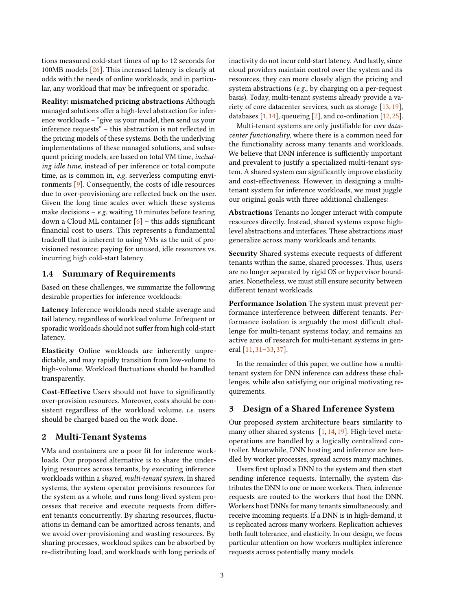tions measured cold-start times of up to 12 seconds for 100MB models [\[26\]](#page-6-8). This increased latency is clearly at odds with the needs of online workloads, and in particular, any workload that may be infrequent or sporadic.

Reality: mismatched pricing abstractions Although managed solutions offer a high-level abstraction for inference workloads – "give us your model, then send us your inference requests" - this abstraction is not reflected in the pricing models of these systems. Both the underlying implementations of these managed solutions, and subsequent pricing models, are based on total VM time, including idle time, instead of per inference or total compute time, as is common in, e.g. serverless computing environments [\[9\]](#page-5-6). Consequently, the costs of idle resources due to over-provisioning are reflected back on the user. Given the long time scales over which these systems make decisions  $-$  e.g. waiting 10 minutes before tearing down a Cloud ML container  $[6]$  – this adds significant nancial cost to users. This represents a fundamental tradeoff that is inherent to using VMs as the unit of provisioned resource: paying for unused, idle resources vs. incurring high cold-start latency.

### 1.4 Summary of Requirements

Based on these challenges, we summarize the following desirable properties for inference workloads:

Latency Inference workloads need stable average and tail latency, regardless of workload volume. Infrequent or sporadic workloads should not suffer from high cold-start latency.

Elasticity Online workloads are inherently unpredictable, and may rapidly transition from low-volume to high-volume. Workload fluctuations should be handled transparently.

Cost-Effective Users should not have to significantly over-provision resources. Moreover, costs should be consistent regardless of the workload volume, i.e. users should be charged based on the work done.

#### <span id="page-2-0"></span>2 Multi-Tenant Systems

VMs and containers are a poor fit for inference workloads. Our proposed alternative is to share the underlying resources across tenants, by executing inference workloads within a shared, multi-tenant system. In shared systems, the system operator provisions resources for the system as a whole, and runs long-lived system processes that receive and execute requests from different tenants concurrently. By sharing resources, fluctuations in demand can be amortized across tenants, and we avoid over-provisioning and wasting resources. By sharing processes, workload spikes can be absorbed by re-distributing load, and workloads with long periods of

inactivity do not incur cold-start latency. And lastly, since cloud providers maintain control over the system and its resources, they can more closely align the pricing and system abstractions (e.g., by charging on a per-request basis). Today, multi-tenant systems already provide a variety of core datacenter services, such as storage [\[13,](#page-5-8) [19\]](#page-5-9), databases  $[1,14]$  $[1,14]$ , queueing  $[2]$ , and co-ordination  $[12,25]$  $[12,25]$ .

Multi-tenant systems are only justifiable for core datacenter functionality, where there is a common need for the functionality across many tenants and workloads. We believe that DNN inference is sufficiently important and prevalent to justify a specialized multi-tenant system. A shared system can significantly improve elasticity and cost-effectiveness. However, in designing a multitenant system for inference workloads, we must juggle our original goals with three additional challenges:

Abstractions Tenants no longer interact with compute resources directly. Instead, shared systems expose highlevel abstractions and interfaces. These abstractions must generalize across many workloads and tenants.

Security Shared systems execute requests of different tenants within the same, shared processes. Thus, users are no longer separated by rigid OS or hypervisor boundaries. Nonetheless, we must still ensure security between different tenant workloads.

Performance Isolation The system must prevent performance interference between different tenants. Performance isolation is arguably the most difficult challenge for multi-tenant systems today, and remains an active area of research for multi-tenant systems in general [\[11,](#page-5-14) [31](#page-6-10)[–33,](#page-6-11) [37\]](#page-6-12).

In the remainder of this paper, we outline how a multitenant system for DNN inference can address these challenges, while also satisfying our original motivating requirements.

#### <span id="page-2-1"></span>3 Design of a Shared Inference System

Our proposed system architecture bears similarity to many other shared systems [\[1,](#page-5-10) [14,](#page-5-11) [19\]](#page-5-9). High-level metaoperations are handled by a logically centralized controller. Meanwhile, DNN hosting and inference are handled by worker processes, spread across many machines.

<span id="page-2-2"></span>Users first upload a DNN to the system and then start sending inference requests. Internally, the system distributes the DNN to one or more workers. Then, inference requests are routed to the workers that host the DNN. Workers host DNNs for many tenants simultaneously, and receive incoming requests. If a DNN is in high-demand, it is replicated across many workers. Replication achieves both fault tolerance, and elasticity. In our design, we focus particular attention on how workers multiplex inference requests across potentially many models.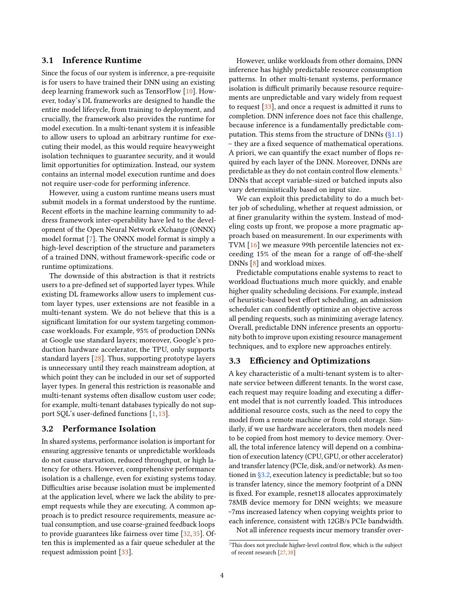## 3.1 Inference Runtime

Since the focus of our system is inference, a pre-requisite is for users to have trained their DNN using an existing deep learning framework such as TensorFlow [\[10\]](#page-5-15). However, today's DL frameworks are designed to handle the entire model lifecycle, from training to deployment, and crucially, the framework also provides the runtime for model execution. In a multi-tenant system it is infeasible to allow users to upload an arbitrary runtime for executing their model, as this would require heavyweight isolation techniques to guarantee security, and it would limit opportunities for optimization. Instead, our system contains an internal model execution runtime and does not require user-code for performing inference.

However, using a custom runtime means users must submit models in a format understood by the runtime. Recent efforts in the machine learning community to address framework inter-operability have led to the development of the Open Neural Network eXchange (ONNX) model format [\[7\]](#page-5-16). The ONNX model format is simply a high-level description of the structure and parameters of a trained DNN, without framework-specific code or runtime optimizations.

The downside of this abstraction is that it restricts users to a pre-defined set of supported layer types. While existing DL frameworks allow users to implement custom layer types, user extensions are not feasible in a multi-tenant system. We do not believe that this is a significant limitation for our system targeting commoncase workloads. For example, 95% of production DNNs at Google use standard layers; moreover, Google's production hardware accelerator, the TPU, only supports standard layers [\[28\]](#page-6-1). Thus, supporting prototype layers is unnecessary until they reach mainstream adoption, at which point they can be included in our set of supported layer types. In general this restriction is reasonable and multi-tenant systems often disallow custom user code; for example, multi-tenant databases typically do not support SQL's user-defined functions  $[1, 13]$  $[1, 13]$  $[1, 13]$ .

#### <span id="page-3-1"></span>3.2 Performance Isolation

In shared systems, performance isolation is important for ensuring aggressive tenants or unpredictable workloads do not cause starvation, reduced throughput, or high latency for others. However, comprehensive performance isolation is a challenge, even for existing systems today. Difficulties arise because isolation must be implemented at the application level, where we lack the ability to preempt requests while they are executing. A common approach is to predict resource requirements, measure actual consumption, and use coarse-grained feedback loops to provide guarantees like fairness over time [\[32,](#page-6-13) [35\]](#page-6-14). Often this is implemented as a fair queue scheduler at the request admission point [\[33\]](#page-6-11).

However, unlike workloads from other domains, DNN inference has highly predictable resource consumption patterns. In other multi-tenant systems, performance isolation is difficult primarily because resource requirements are unpredictable and vary widely from request to request [\[33\]](#page-6-11), and once a request is admitted it runs to completion. DNN inference does not face this challenge, because inference is a fundamentally predictable computation. This stems from the structure of DNNs  $(\S1.1)$ – they are a fixed sequence of mathematical operations. A priori, we can quantify the exact number of flops required by each layer of the DNN. Moreover, DNNs are predictable as they do not contain control flow elements.<sup>[3](#page-3-0)</sup> DNNs that accept variable-sized or batched inputs also vary deterministically based on input size.

We can exploit this predictability to do a much better job of scheduling, whether at request admission, or at finer granularity within the system. Instead of modeling costs up front, we propose a more pragmatic approach based on measurement. In our experiments with TVM [\[16\]](#page-5-0) we measure 99th percentile latencies not exceeding 15% of the mean for a range of off-the-shelf DNNs [\[8\]](#page-5-17) and workload mixes.

Predictable computations enable systems to react to workload fluctuations much more quickly, and enable higher quality scheduling decisions. For example, instead of heuristic-based best effort scheduling, an admission scheduler can confidently optimize an objective across all pending requests, such as minimizing average latency. Overall, predictable DNN inference presents an opportunity both to improve upon existing resource management techniques, and to explore new approaches entirely.

### <span id="page-3-2"></span>3.3 Efficiency and Optimizations

A key characteristic of a multi-tenant system is to alternate service between different tenants. In the worst case, each request may require loading and executing a different model that is not currently loaded. This introduces additional resource costs, such as the need to copy the model from a remote machine or from cold storage. Similarly, if we use hardware accelerators, then models need to be copied from host memory to device memory. Overall, the total inference latency will depend on a combination of execution latency (CPU, GPU, or other accelerator) and transfer latency (PCIe, disk, and/or network). As mentioned in [§3.2,](#page-3-1) execution latency is predictable; but so too is transfer latency, since the memory footprint of a DNN is fixed. For example, resnet18 allocates approximately 78MB device memory for DNN weights; we measure ~7ms increased latency when copying weights prior to each inference, consistent with 12GB/s PCIe bandwidth.

Not all inference requests incur memory transfer over-

<span id="page-3-0"></span> $3$ This does not preclude higher-level control flow, which is the subject of recent research [\[27,](#page-6-15) [38\]](#page-7-0)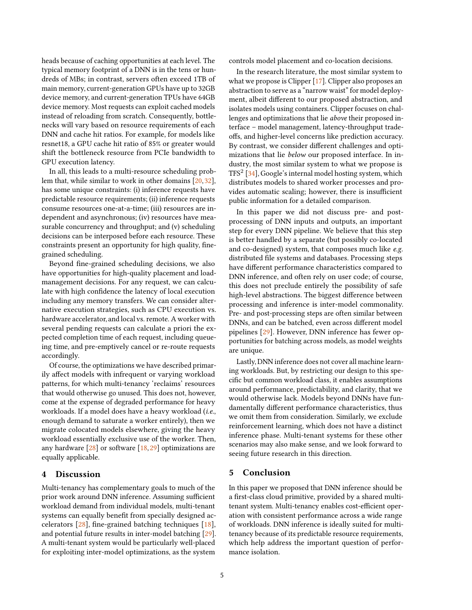heads because of caching opportunities at each level. The typical memory footprint of a DNN is in the tens or hundreds of MBs; in contrast, servers often exceed 1TB of main memory, current-generation GPUs have up to 32GB device memory, and current-generation TPUs have 64GB device memory. Most requests can exploit cached models instead of reloading from scratch. Consequently, bottlenecks will vary based on resource requirements of each DNN and cache hit ratios. For example, for models like resnet18, a GPU cache hit ratio of 85% or greater would shift the bottleneck resource from PCIe bandwidth to GPU execution latency.

In all, this leads to a multi-resource scheduling problem that, while similar to work in other domains [\[20,](#page-5-18) [32\]](#page-6-13), has some unique constraints: (i) inference requests have predictable resource requirements; (ii) inference requests consume resources one-at-a-time; (iii) resources are independent and asynchronous; (iv) resources have measurable concurrency and throughput; and (v) scheduling decisions can be interposed before each resource. These constraints present an opportunity for high quality, finegrained scheduling.

Beyond fine-grained scheduling decisions, we also have opportunities for high-quality placement and loadmanagement decisions. For any request, we can calculate with high confidence the latency of local execution including any memory transfers. We can consider alternative execution strategies, such as CPU execution vs. hardware accelerator, and local vs. remote. A worker with several pending requests can calculate a priori the expected completion time of each request, including queueing time, and pre-emptively cancel or re-route requests accordingly.

Of course, the optimizations we have described primarily affect models with infrequent or varying workload patterns, for which multi-tenancy 'reclaims' resources that would otherwise go unused. This does not, however, come at the expense of degraded performance for heavy workloads. If a model does have a heavy workload (i.e., enough demand to saturate a worker entirely), then we migrate colocated models elsewhere, giving the heavy workload essentially exclusive use of the worker. Then, any hardware [\[28\]](#page-6-1) or software [\[18,](#page-5-19) [29\]](#page-6-16) optimizations are equally applicable.

## <span id="page-4-0"></span>4 Discussion

Multi-tenancy has complementary goals to much of the prior work around DNN inference. Assuming sufficient workload demand from individual models, multi-tenant systems can equally benefit from specially designed accelerators  $[28]$ , fine-grained batching techniques  $[18]$ , and potential future results in inter-model batching [\[29\]](#page-6-16). A multi-tenant system would be particularly well-placed for exploiting inter-model optimizations, as the system

controls model placement and co-location decisions.

In the research literature, the most similar system to what we propose is Clipper [\[17\]](#page-5-1). Clipper also proposes an abstraction to serve as a "narrow waist" for model deployment, albeit different to our proposed abstraction, and isolates models using containers. Clipper focuses on challenges and optimizations that lie above their proposed interface – model management, latency-throughput tradeoffs, and higher-level concerns like prediction accuracy. By contrast, we consider different challenges and optimizations that lie below our proposed interface. In industry, the most similar system to what we propose is TFS2 [\[34\]](#page-6-2), Google's internal model hosting system, which distributes models to shared worker processes and provides automatic scaling; however, there is insufficient public information for a detailed comparison.

In this paper we did not discuss pre- and postprocessing of DNN inputs and outputs, an important step for every DNN pipeline. We believe that this step is better handled by a separate (but possibly co-located and co-designed) system, that composes much like e.g. distributed file systems and databases. Processing steps have different performance characteristics compared to DNN inference, and often rely on user code; of course, this does not preclude entirely the possibility of safe high-level abstractions. The biggest difference between processing and inference is inter-model commonality. Pre- and post-processing steps are often similar between DNNs, and can be batched, even across different model pipelines [\[29\]](#page-6-16). However, DNN inference has fewer opportunities for batching across models, as model weights are unique.

Lastly, DNN inference does not cover all machine learning workloads. But, by restricting our design to this specific but common workload class, it enables assumptions around performance, predictability, and clarity, that we would otherwise lack. Models beyond DNNs have fundamentally different performance characteristics, thus we omit them from consideration. Similarly, we exclude reinforcement learning, which does not have a distinct inference phase. Multi-tenant systems for these other scenarios may also make sense, and we look forward to seeing future research in this direction.

#### 5 Conclusion

In this paper we proposed that DNN inference should be a first-class cloud primitive, provided by a shared multitenant system. Multi-tenancy enables cost-efficient operation with consistent performance across a wide range of workloads. DNN inference is ideally suited for multitenancy because of its predictable resource requirements, which help address the important question of performance isolation.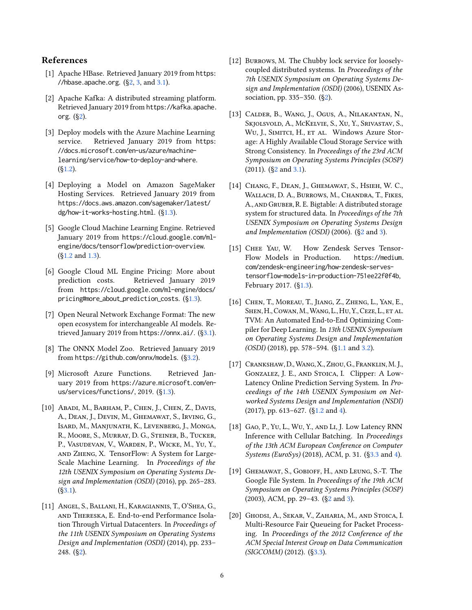## References

- <span id="page-5-10"></span>[1] Apache HBase. Retrieved January 2019 from [https:](https://hbase.apache.org) [//hbase.apache.org](https://hbase.apache.org).  $(\S2, 3, \text{ and } 3.1)$  $(\S2, 3, \text{ and } 3.1)$  $(\S2, 3, \text{ and } 3.1)$  $(\S2, 3, \text{ and } 3.1)$ .
- <span id="page-5-12"></span>[2] Apache Kafka: A distributed streaming platform. Retrieved January 2019 from [https://kafka.apache.](https://kafka.apache.org) [org](https://kafka.apache.org). ([§2\)](#page-2-0).
- <span id="page-5-3"></span>[3] Deploy models with the Azure Machine Learning service. Retrieved January 2019 from [https:](https://docs.microsoft.com/en-us/azure/machine-learning/service/how-to-deploy-and-where) [//docs.microsoft.com/en-us/azure/machine](https://docs.microsoft.com/en-us/azure/machine-learning/service/how-to-deploy-and-where)[learning/service/how-to-deploy-and-where](https://docs.microsoft.com/en-us/azure/machine-learning/service/how-to-deploy-and-where).  $(S1.2)$ .
- <span id="page-5-5"></span>[4] Deploying a Model on Amazon SageMaker Hosting Services. Retrieved January 2019 from [https://docs.aws.amazon.com/sagemaker/latest/](https://docs.aws.amazon.com/sagemaker/latest/dg/how-it-works-hosting.html) [dg/how-it-works-hosting.html](https://docs.aws.amazon.com/sagemaker/latest/dg/how-it-works-hosting.html). ([§1.3\)](#page-1-2).
- <span id="page-5-2"></span>[5] Google Cloud Machine Learning Engine. Retrieved January 2019 from [https://cloud.google.com/ml](https://cloud.google.com/ml-engine/docs/tensorflow/prediction-overview)[engine/docs/tensorflow/prediction-overview](https://cloud.google.com/ml-engine/docs/tensorflow/prediction-overview). ([§1.2](#page-0-0) and [1.3\)](#page-1-2).
- <span id="page-5-7"></span>[6] Google Cloud ML Engine Pricing: More about prediction costs. Retrieved January 2019 from [https://cloud.google.com/ml-engine/docs/](https://cloud.google.com/ml-engine/docs/pricing#more_about_prediction_costs) [pricing#more\\_about\\_prediction\\_costs](https://cloud.google.com/ml-engine/docs/pricing#more_about_prediction_costs). ([§1.3\)](#page-1-2).
- <span id="page-5-16"></span>[7] Open Neural Network Exchange Format: The new open ecosystem for interchangeable AI models. Retrieved January 2019 from <https://onnx.ai/>. ([§3.1\)](#page-2-2).
- <span id="page-5-17"></span>[8] The ONNX Model Zoo. Retrieved January 2019 from <https://github.com/onnx/models>. ([§3.2\)](#page-3-1).
- <span id="page-5-6"></span>[9] Microsoft Azure Functions. Retrieved January 2019 from [https://azure.microsoft.com/en](https://azure.microsoft.com/en-us/services/functions/)[us/services/functions/](https://azure.microsoft.com/en-us/services/functions/), 2019. ([§1.3\)](#page-1-2).
- <span id="page-5-15"></span>[10] Abadi, M., Barham, P., Chen, J., Chen, Z., Davis, A., Dean, J., Devin, M., Ghemawat, S., Irving, G., Isard, M., Manjunath, K., Levenberg, J., Monga, R., Moore, S., Murray, D. G., Steiner, B., Tucker, P., Vasudevan, V., Warden, P., Wicke, M., Yu, Y., and Zheng, X. TensorFlow: A System for Large-Scale Machine Learning. In Proceedings of the 12th USENIX Symposium on Operating Systems Design and Implementation (OSDI) (2016), pp. 265–283.  $(S3.1)$ .
- <span id="page-5-14"></span>[11] Angel, S., Ballani, H., Karagiannis, T., O'Shea, G., and Thereska, E. End-to-end Performance Isolation Through Virtual Datacenters. In Proceedings of the 11th USENIX Symposium on Operating Systems Design and Implementation (OSDI) (2014), pp. 233– 248. ([§2\)](#page-2-0).
- <span id="page-5-13"></span>[12] BURROWS, M. The Chubby lock service for looselycoupled distributed systems. In Proceedings of the 7th USENIX Symposium on Operating Systems Design and Implementation (OSDI) (2006), USENIX Association, pp. 335–350. ([§2\)](#page-2-0).
- <span id="page-5-8"></span>[13] Calder, B., Wang, J., Ogus, A., Nilakantan, N., Skjolsvold, A., McKelvie, S., Xu, Y., Srivastav, S., Wu, J., SIMITCI, H., ET AL. Windows Azure Storage: A Highly Available Cloud Storage Service with Strong Consistency. In Proceedings of the 23rd ACM Symposium on Operating Systems Principles (SOSP) (2011). ([§2](#page-2-0) and [3.1\)](#page-2-2).
- <span id="page-5-11"></span>[14] Chang, F., Dean, J., Ghemawat, S., Hsieh, W. C., WALLACH, D. A., BURROWS, M., CHANDRA, T., FIKES, A., and Gruber, R. E. Bigtable: A distributed storage system for structured data. In Proceedings of the 7th USENIX Symposium on Operating Systems Design and Implementation (OSDI) (2006). ([§2](#page-2-0) and [3\)](#page-2-1).
- <span id="page-5-4"></span>[15] CHEE YAU, W. How Zendesk Serves Tensor-Flow Models in Production. [https://medium.](https://medium.com/zendesk-engineering/how-zendesk-serves-tensorflow-models-in-production-751ee22f0f4b) [com/zendesk-engineering/how-zendesk-serves](https://medium.com/zendesk-engineering/how-zendesk-serves-tensorflow-models-in-production-751ee22f0f4b)[tensorflow-models-in-production-751ee22f0f4b](https://medium.com/zendesk-engineering/how-zendesk-serves-tensorflow-models-in-production-751ee22f0f4b), February 2017. ([§1.3\)](#page-1-2).
- <span id="page-5-0"></span>[16] Chen, T., Moreau, T., Jiang, Z., Zheng, L., Yan, E., SHEN, H., COWAN, M., WANG, L., HU, Y., CEZE, L., ET AL. TVM: An Automated End-to-End Optimizing Compiler for Deep Learning. In 13th USENIX Symposium on Operating Systems Design and Implementation (OSDI) (2018), pp. 578–594. ([§1.1](#page-0-1) and [3.2\)](#page-3-1).
- <span id="page-5-1"></span>[17] Crankshaw, D.,Wang, X., Zhou, G., Franklin, M. J., Gonzalez, J. E., and Stoica, I. Clipper: A Low-Latency Online Prediction Serving System. In Proceedings of the 14th USENIX Symposium on Networked Systems Design and Implementation (NSDI) (2017), pp. 613–627. ([§1.2](#page-0-0) and [4\)](#page-4-0).
- <span id="page-5-19"></span>[18] Gao, P., Yu, L., Wu, Y., and Li, J. Low Latency RNN Inference with Cellular Batching. In Proceedings of the 13th ACM European Conference on Computer Systems (EuroSys) (2018), ACM, p. 31. ([§3.3](#page-3-2) and [4\)](#page-4-0).
- <span id="page-5-9"></span>[19] GHEMAWAT, S., GOBIOFF, H., AND LEUNG, S.-T. The Google File System. In Proceedings of the 19th ACM Symposium on Operating Systems Principles (SOSP) (2003), ACM, pp. 29–43. ([§2](#page-2-0) and [3\)](#page-2-1).
- <span id="page-5-18"></span>[20] Ghodsi, A., Sekar, V., Zaharia, M., and Stoica, I. Multi-Resource Fair Queueing for Packet Processing. In Proceedings of the 2012 Conference of the ACM Special Interest Group on Data Communication (SIGCOMM) (2012). ([§3.3\)](#page-3-2).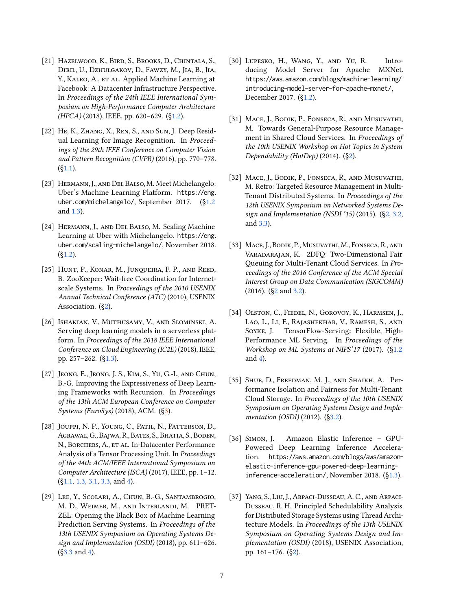- <span id="page-6-4"></span>[21] Hazelwood, K., Bird, S., Brooks, D., Chintala, S., Diril, U., Dzhulgakov, D., Fawzy, M., Jia, B., Jia, Y., KALRO, A., ET AL. Applied Machine Learning at Facebook: A Datacenter Infrastructure Perspective. In Proceedings of the 24th IEEE International Symposium on High-Performance Computer Architecture (HPCA) (2018), IEEE, pp. 620–629. ([§1.2\)](#page-0-0).
- <span id="page-6-0"></span>[22] He, K., Zhang, X., Ren, S., and Sun, J. Deep Residual Learning for Image Recognition. In Proceedings of the 29th IEEE Conference on Computer Vision and Pattern Recognition (CVPR) (2016), pp. 770–778.  $(S1.1)$ .
- <span id="page-6-5"></span>[23] Hermann, J., and Del Balso,M. Meet Michelangelo: Uber's Machine Learning Platform. [https://eng.](https://eng.uber.com/michelangelo/) [uber.com/michelangelo/](https://eng.uber.com/michelangelo/), September 2017. ([§1.2](#page-0-0) and [1.3\)](#page-1-2).
- <span id="page-6-6"></span>[24] Hermann, J., and Del Balso, M. Scaling Machine Learning at Uber with Michelangelo. [https://eng.](https://eng.uber.com/scaling-michelangelo/) [uber.com/scaling-michelangelo/](https://eng.uber.com/scaling-michelangelo/), November 2018.  $(S1.2)$ .
- <span id="page-6-9"></span>[25] HUNT, P., KONAR, M., JUNQUEIRA, F. P., AND REED, B. ZooKeeper: Wait-free Coordination for Internetscale Systems. In Proceedings of the 2010 USENIX Annual Technical Conference (ATC) (2010), USENIX Association. ([§2\)](#page-2-0).
- <span id="page-6-8"></span>[26] Ishakian, V., Muthusamy, V., and Slominski, A. Serving deep learning models in a serverless platform. In Proceedings of the 2018 IEEE International Conference on Cloud Engineering (IC2E) (2018), IEEE, pp. 257–262. ([§1.3\)](#page-1-2).
- <span id="page-6-15"></span>[27] Jeong, E., Jeong, J. S., Kim, S., Yu, G.-I., and Chun, B.-G. Improving the Expressiveness of Deep Learning Frameworks with Recursion. In Proceedings of the 13th ACM European Conference on Computer Systems (EuroSys) (2018), ACM. ([§3\)](#page-3-0).
- <span id="page-6-1"></span>[28] Jouppi, N. P., Young, C., Patil, N., Patterson, D., Agrawal, G., Bajwa, R., Bates, S., Bhatia, S., Boden, N., BORCHERS, A., ET AL. In-Datacenter Performance Analysis of a Tensor Processing Unit. In Proceedings of the 44th ACM/IEEE International Symposium on Computer Architecture (ISCA) (2017), IEEE, pp. 1–12. ([§1.1,](#page-0-1) [1.3,](#page-1-2) [3.1,](#page-2-2) [3.3,](#page-3-2) and [4\)](#page-4-0).
- <span id="page-6-16"></span>[29] Lee, Y., Scolari, A., Chun, B.-G., Santambrogio, M. D., Weimer, M., and Interlandi, M. PRET-ZEL: Opening the Black Box of Machine Learning Prediction Serving Systems. In Proceedings of the 13th USENIX Symposium on Operating Systems Design and Implementation (OSDI) (2018), pp. 611–626. ([§3.3](#page-3-2) and [4\)](#page-4-0).
- <span id="page-6-3"></span>[30] Lupesko, H., Wang, Y., and Yu, R. Introducing Model Server for Apache MXNet. [https://aws.amazon.com/blogs/machine-learning/](https://aws.amazon.com/blogs/machine-learning/introducing-model-server-for-apache-mxnet/) [introducing-model-server-for-apache-mxnet/](https://aws.amazon.com/blogs/machine-learning/introducing-model-server-for-apache-mxnet/), December 2017. ([§1.2\)](#page-0-0).
- <span id="page-6-10"></span>[31] Mace, J., Bodik, P., Fonseca, R., and Musuvathi, M. Towards General-Purpose Resource Management in Shared Cloud Services. In Proceedings of the 10th USENIX Workshop on Hot Topics in System Dependability (HotDep) (2014). ([§2\)](#page-2-0).
- <span id="page-6-13"></span>[32] Mace, J., Bodik, P., Fonseca, R., and Musuvathi, M. Retro: Targeted Resource Management in Multi-Tenant Distributed Systems. In Proceedings of the 12th USENIX Symposium on Networked Systems Design and Implementation (NSDI '15) (2015). ([§2,](#page-2-0) [3.2,](#page-3-1) and [3.3\)](#page-3-2).
- <span id="page-6-11"></span>[33] Mace, J., Bodik, P., Musuvathi, M., Fonseca, R., and Varadarajan, K. 2DFQ: Two-Dimensional Fair Queuing for Multi-Tenant Cloud Services. In Proceedings of the 2016 Conference of the ACM Special Interest Group on Data Communication (SIGCOMM) (2016). ([§2](#page-2-0) and [3.2\)](#page-3-1).
- <span id="page-6-2"></span>[34] Olston, C., Fiedel, N., Gorovoy, K., Harmsen, J., Lao, L., Li, F., Rajashekhar, V., Ramesh, S., and Soyke, J. TensorFlow-Serving: Flexible, High-Performance ML Serving. In Proceedings of the Workshop on ML Systems at NIPS'17 (2017). ([§1.2](#page-0-0) and [4\)](#page-4-0).
- <span id="page-6-14"></span>[35] SHUE, D., FREEDMAN, M. J., AND SHAIKH, A. Performance Isolation and Fairness for Multi-Tenant Cloud Storage. In Proceedings of the 10th USENIX Symposium on Operating Systems Design and Implementation (OSDI) (2012). ([§3.2\)](#page-3-1).
- <span id="page-6-7"></span>[36] Simon, J. Amazon Elastic Inference – GPU-Powered Deep Learning Inference Acceleration. [https://aws.amazon.com/blogs/aws/amazon](https://aws.amazon.com/blogs/aws/amazon-elastic-inference-gpu-powered-deep-learning-inference-acceleration/)[elastic-inference-gpu-powered-deep-learning](https://aws.amazon.com/blogs/aws/amazon-elastic-inference-gpu-powered-deep-learning-inference-acceleration/)[inference-acceleration/](https://aws.amazon.com/blogs/aws/amazon-elastic-inference-gpu-powered-deep-learning-inference-acceleration/), November 2018. ([§1.3\)](#page-1-2).
- <span id="page-6-12"></span>[37] Yang, S., Liu, J., Arpaci-Dusseau, A. C., and Arpaci-Dusseau, R. H. Principled Schedulability Analysis for Distributed Storage Systems using Thread Architecture Models. In Proceedings of the 13th USENIX Symposium on Operating Systems Design and Implementation (OSDI) (2018), USENIX Association, pp. 161–176. ([§2\)](#page-2-0).